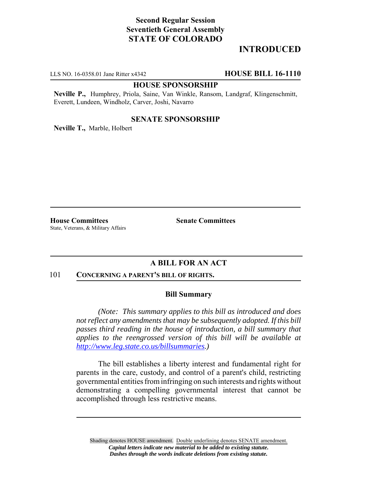# **Second Regular Session Seventieth General Assembly STATE OF COLORADO**

## **INTRODUCED**

LLS NO. 16-0358.01 Jane Ritter x4342 **HOUSE BILL 16-1110**

### **HOUSE SPONSORSHIP**

**Neville P.,** Humphrey, Priola, Saine, Van Winkle, Ransom, Landgraf, Klingenschmitt, Everett, Lundeen, Windholz, Carver, Joshi, Navarro

### **SENATE SPONSORSHIP**

**Neville T.,** Marble, Holbert

**House Committees Senate Committees** State, Veterans, & Military Affairs

## **A BILL FOR AN ACT**

#### 101 **CONCERNING A PARENT'S BILL OF RIGHTS.**

#### **Bill Summary**

*(Note: This summary applies to this bill as introduced and does not reflect any amendments that may be subsequently adopted. If this bill passes third reading in the house of introduction, a bill summary that applies to the reengrossed version of this bill will be available at http://www.leg.state.co.us/billsummaries.)*

The bill establishes a liberty interest and fundamental right for parents in the care, custody, and control of a parent's child, restricting governmental entities from infringing on such interests and rights without demonstrating a compelling governmental interest that cannot be accomplished through less restrictive means.

Shading denotes HOUSE amendment. Double underlining denotes SENATE amendment. *Capital letters indicate new material to be added to existing statute. Dashes through the words indicate deletions from existing statute.*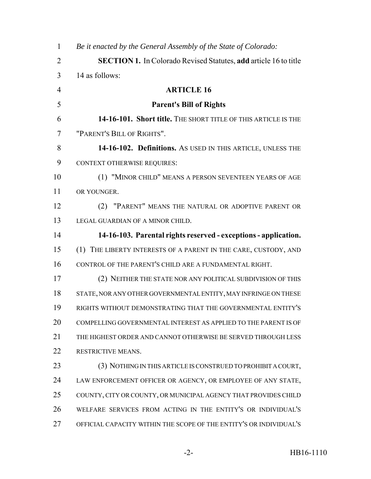| $\mathbf{1}$   | Be it enacted by the General Assembly of the State of Colorado:         |
|----------------|-------------------------------------------------------------------------|
| $\overline{2}$ | <b>SECTION 1.</b> In Colorado Revised Statutes, add article 16 to title |
| 3              | 14 as follows:                                                          |
| $\overline{4}$ | <b>ARTICLE 16</b>                                                       |
| 5              | <b>Parent's Bill of Rights</b>                                          |
| 6              | 14-16-101. Short title. THE SHORT TITLE OF THIS ARTICLE IS THE          |
| 7              | "PARENT'S BILL OF RIGHTS".                                              |
| 8              | 14-16-102. Definitions. As USED IN THIS ARTICLE, UNLESS THE             |
| 9              | <b>CONTEXT OTHERWISE REQUIRES:</b>                                      |
| 10             | (1) "MINOR CHILD" MEANS A PERSON SEVENTEEN YEARS OF AGE                 |
| 11             | OR YOUNGER.                                                             |
| 12             | (2) "PARENT" MEANS THE NATURAL OR ADOPTIVE PARENT OR                    |
| 13             | LEGAL GUARDIAN OF A MINOR CHILD.                                        |
| 14             | 14-16-103. Parental rights reserved - exceptions - application.         |
| 15             | (1) THE LIBERTY INTERESTS OF A PARENT IN THE CARE, CUSTODY, AND         |
| 16             | CONTROL OF THE PARENT'S CHILD ARE A FUNDAMENTAL RIGHT.                  |
| 17             | (2) NEITHER THE STATE NOR ANY POLITICAL SUBDIVISION OF THIS             |
| 18             | STATE, NOR ANY OTHER GOVERNMENTAL ENTITY, MAY INFRINGE ON THESE         |
| 19             | RIGHTS WITHOUT DEMONSTRATING THAT THE GOVERNMENTAL ENTITY'S             |
| 20             | COMPELLING GOVERNMENTAL INTEREST AS APPLIED TO THE PARENT IS OF         |
| 21             | THE HIGHEST ORDER AND CANNOT OTHERWISE BE SERVED THROUGH LESS           |
| 22             | RESTRICTIVE MEANS.                                                      |
| 23             | (3) NOTHING IN THIS ARTICLE IS CONSTRUED TO PROHIBIT A COURT,           |
| 24             | LAW ENFORCEMENT OFFICER OR AGENCY, OR EMPLOYEE OF ANY STATE,            |
| 25             | COUNTY, CITY OR COUNTY, OR MUNICIPAL AGENCY THAT PROVIDES CHILD         |
| 26             | WELFARE SERVICES FROM ACTING IN THE ENTITY'S OR INDIVIDUAL'S            |
| 27             | OFFICIAL CAPACITY WITHIN THE SCOPE OF THE ENTITY'S OR INDIVIDUAL'S      |